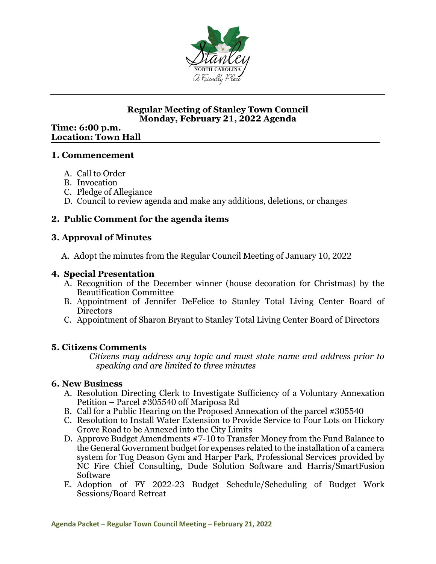

### **Regular Meeting of Stanley Town Council Monday, February 21, 2022 Agenda**

#### **Time: 6:00 p.m. Location: Town Hall**

#### **1. Commencement**

- A. Call to Order
- B. Invocation
- C. Pledge of Allegiance
- D. Council to review agenda and make any additions, deletions, or changes

# **2. Public Comment for the agenda items**

### **3. Approval of Minutes**

A. Adopt the minutes from the Regular Council Meeting of January 10, 2022

### **4. Special Presentation**

- A. Recognition of the December winner (house decoration for Christmas) by the Beautification Committee
- B. Appointment of Jennifer DeFelice to Stanley Total Living Center Board of Directors
- C. Appointment of Sharon Bryant to Stanley Total Living Center Board of Directors

# **5. Citizens Comments**

*Citizens may address any topic and must state name and address prior to speaking and are limited to three minutes*

#### **6. New Business**

- A. Resolution Directing Clerk to Investigate Sufficiency of a Voluntary Annexation Petition – Parcel #305540 off Mariposa Rd
- B. Call for a Public Hearing on the Proposed Annexation of the parcel #305540
- C. Resolution to Install Water Extension to Provide Service to Four Lots on Hickory Grove Road to be Annexed into the City Limits
- D. Approve Budget Amendments #7-10 to Transfer Money from the Fund Balance to the General Government budget for expenses related to the installation of a camera system for Tug Deason Gym and Harper Park, Professional Services provided by NC Fire Chief Consulting, Dude Solution Software and Harris/SmartFusion Software
- E. Adoption of FY 2022-23 Budget Schedule/Scheduling of Budget Work Sessions/Board Retreat